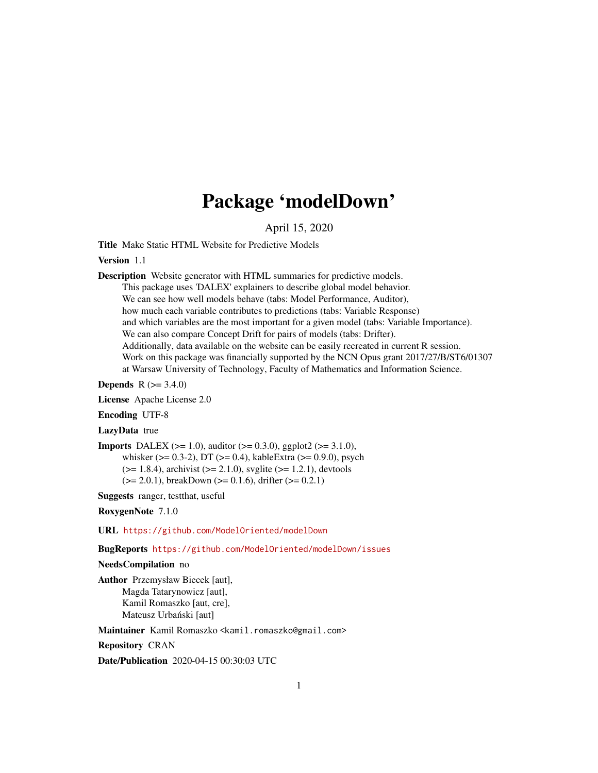## Package 'modelDown'

April 15, 2020

Title Make Static HTML Website for Predictive Models

Version 1.1

Description Website generator with HTML summaries for predictive models. This package uses 'DALEX' explainers to describe global model behavior. We can see how well models behave (tabs: Model Performance, Auditor), how much each variable contributes to predictions (tabs: Variable Response) and which variables are the most important for a given model (tabs: Variable Importance). We can also compare Concept Drift for pairs of models (tabs: Drifter). Additionally, data available on the website can be easily recreated in current R session. Work on this package was financially supported by the NCN Opus grant 2017/27/B/ST6/01307 at Warsaw University of Technology, Faculty of Mathematics and Information Science.

**Depends** R  $(>= 3.4.0)$ 

License Apache License 2.0

Encoding UTF-8

LazyData true

**Imports** DALEX ( $>= 1.0$ ), auditor ( $>= 0.3.0$ ), ggplot2 ( $>= 3.1.0$ ), whisker ( $> = 0.3-2$ ), DT ( $>= 0.4$ ), kableExtra ( $>= 0.9.0$ ), psych  $(>= 1.8.4)$ , archivist  $(>= 2.1.0)$ , svglite  $(>= 1.2.1)$ , devtools

 $(>= 2.0.1)$ , breakDown  $(>= 0.1.6)$ , drifter  $(>= 0.2.1)$ 

Suggests ranger, testthat, useful

RoxygenNote 7.1.0

URL <https://github.com/ModelOriented/modelDown>

BugReports <https://github.com/ModelOriented/modelDown/issues>

NeedsCompilation no

Author Przemysław Biecek [aut], Magda Tatarynowicz [aut], Kamil Romaszko [aut, cre], Mateusz Urbański [aut]

Maintainer Kamil Romaszko <kamil.romaszko@gmail.com>

Repository CRAN

Date/Publication 2020-04-15 00:30:03 UTC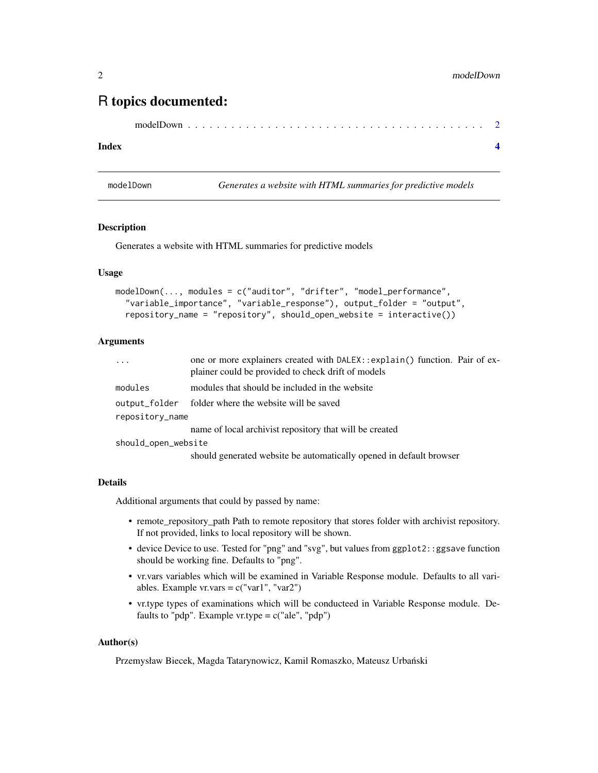### <span id="page-1-0"></span>R topics documented:

```
modelDown . . . . . . . . . . . . . . . . . . . . . . . . . . . . . . . . . . . . . . . . . 2
```
#### **Index** [4](#page-3-0)

modelDown *Generates a website with HTML summaries for predictive models*

#### Description

Generates a website with HTML summaries for predictive models

#### Usage

```
modelDown(..., modules = c("auditor", "drifter", "model_performance",
  "variable_importance", "variable_response"), output_folder = "output",
  repository_name = "repository", should_open_website = interactive())
```
#### Arguments

| $\cdots$            | one or more explainers created with DALEX: : explain() function. Pair of ex-<br>plainer could be provided to check drift of models |
|---------------------|------------------------------------------------------------------------------------------------------------------------------------|
| modules             | modules that should be included in the website                                                                                     |
| output_folder       | folder where the website will be saved                                                                                             |
| repository_name     |                                                                                                                                    |
|                     | name of local archivist repository that will be created                                                                            |
| should_open_website |                                                                                                                                    |
|                     | should generated website be automatically opened in default browser                                                                |

#### Details

Additional arguments that could by passed by name:

- remote\_repository\_path Path to remote repository that stores folder with archivist repository. If not provided, links to local repository will be shown.
- device Device to use. Tested for "png" and "svg", but values from ggplot2::ggsave function should be working fine. Defaults to "png".
- vr.vars variables which will be examined in Variable Response module. Defaults to all variables. Example  $vr.vars = c("var1", "var2")$
- vr.type types of examinations which will be conducteed in Variable Response module. Defaults to "pdp". Example vr.type  $= c("ale", "pdp")$

#### Author(s)

Przemysław Biecek, Magda Tatarynowicz, Kamil Romaszko, Mateusz Urbański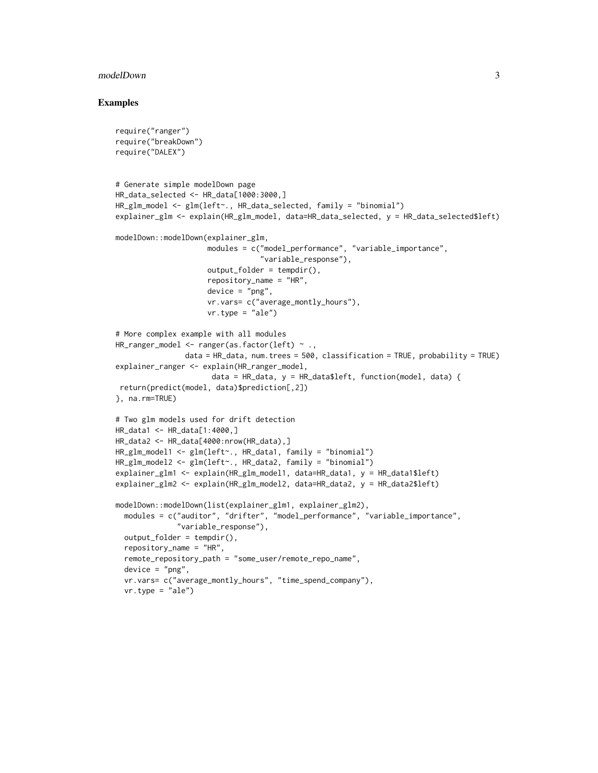#### modelDown 3

#### Examples

```
require("ranger")
require("breakDown")
require("DALEX")
# Generate simple modelDown page
HR_data_selected <- HR_data[1000:3000,]
HR_glm_model <- glm(left~., HR_data_selected, family = "binomial")
explainer_glm <- explain(HR_glm_model, data=HR_data_selected, y = HR_data_selected$left)
modelDown::modelDown(explainer_glm,
                    modules = c("model_performance", "variable_importance",
                                 "variable_response"),
                    output_folder = tempdir(),
                     repository_name = "HR",
                    device = "png",vr.vars= c("average_montly_hours"),
                    vr.type = "ale")# More complex example with all modules
HR_ranger_model <- ranger(as.factor(left) ~ .,
               data = HR_data, num.trees = 500, classification = TRUE, probability = TRUE)
explainer_ranger <- explain(HR_ranger_model,
                     data = HR_data, y = HR_data$left, function(model, data) {
return(predict(model, data)$prediction[,2])
}, na.rm=TRUE)
# Two glm models used for drift detection
HR_data1 <- HR_data[1:4000,]
HR_data2 <- HR_data[4000:nrow(HR_data),]
HR_glm_model1 <- glm(left~., HR_data1, family = "binomial")
HR_glm_model2 <- glm(left~., HR_data2, family = "binomial")
explainer_glm1 <- explain(HR_glm_model1, data=HR_data1, y = HR_data1$left)
explainer_glm2 <- explain(HR_glm_model2, data=HR_data2, y = HR_data2$left)
modelDown::modelDown(list(explainer_glm1, explainer_glm2),
 modules = c("auditor", "drifter", "model_performance", "variable_importance",
              "variable_response"),
 output_folder = tempdir(),
 repository_name = "HR",
 remote_repository_path = "some_user/remote_repo_name",
 device = "png",vr.vars= c("average_montly_hours", "time_spend_company"),
 vr.type = "ale")
```